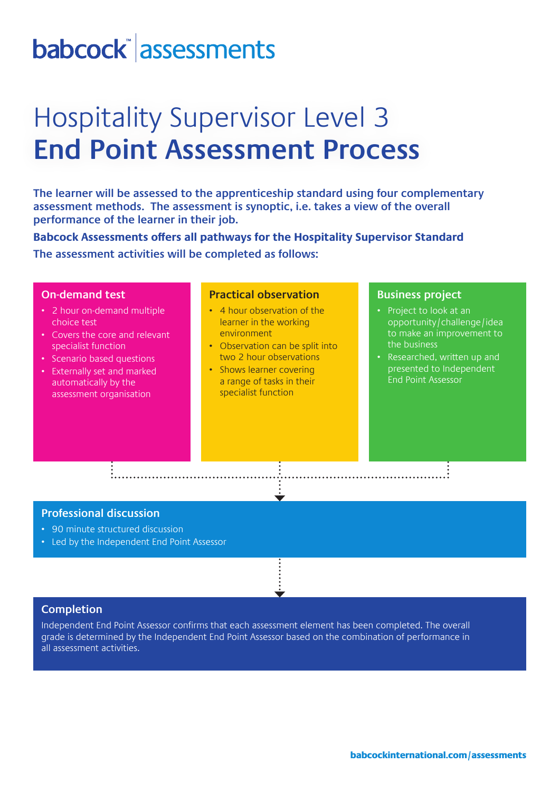# babcock assessments

## Hospitality Supervisor Level 3 **End Point Assessment Process**

**The learner will be assessed to the apprenticeship standard using four complementary assessment methods. The assessment is synoptic, i.e. takes a view of the overall performance of the learner in their job.** 

**Babcock Assessments offers all pathways for the Hospitality Supervisor Standard The assessment activities will be completed as follows:**

#### **On-demand test**

- 2 hour on-demand multiple choice test
- Covers the core and relevant specialist function
- Scenario based questions
- Externally set and marked automatically by the assessment organisation

### **Practical observation**

- 4 hour observation of the learner in the working environment
- Observation can be split into two 2 hour observations
- Shows learner covering a range of tasks in their specialist function

#### **Business project**

- Project to look at an opportunity/challenge/idea to make an improvement to the business
- Researched, written up and presented to Independent End Point Assessor

### **Professional discussion**

- 90 minute structured discussion
- Led by the Independent End Point Assessor

### **Completion**

Independent End Point Assessor confirms that each assessment element has been completed. The overall grade is determined by the Independent End Point Assessor based on the combination of performance in all assessment activities.